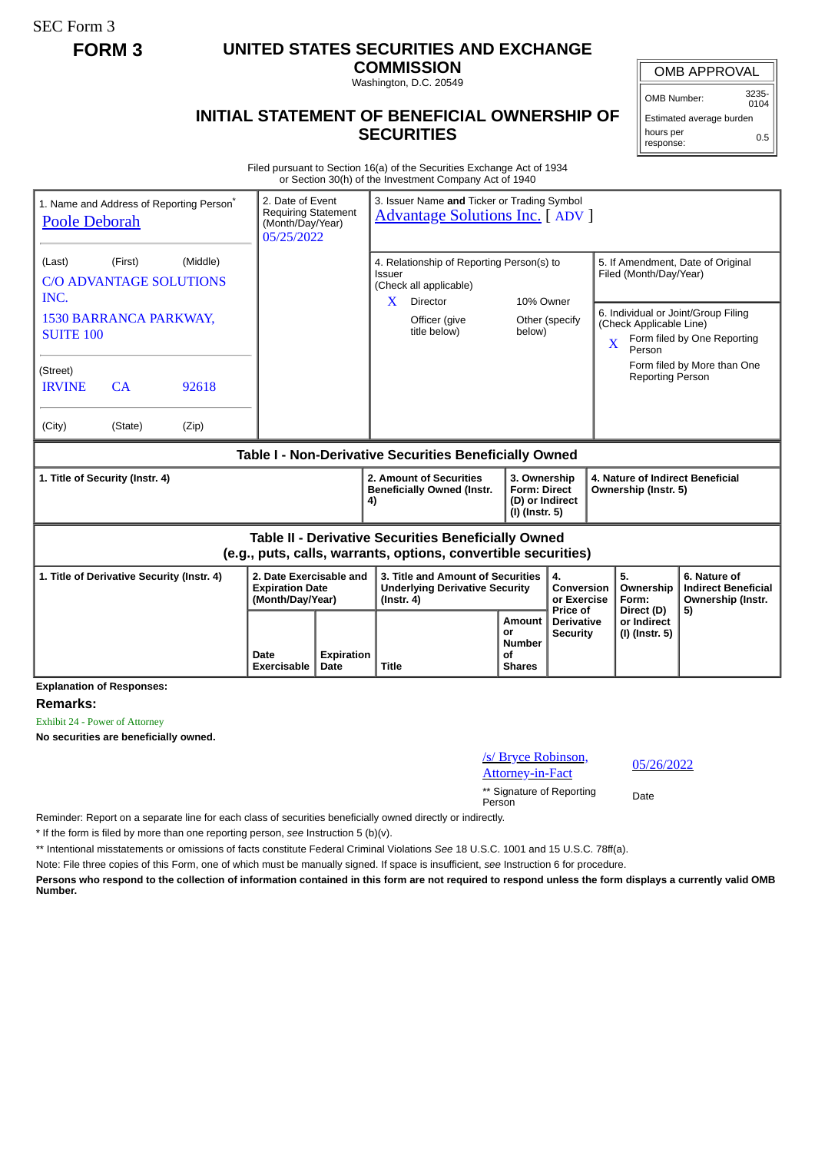SEC Form 3

## **FORM 3 UNITED STATES SECURITIES AND EXCHANGE**

**COMMISSION** Washington, D.C. 20549

## **INITIAL STATEMENT OF BENEFICIAL OWNERSHIP OF SECURITIES**

OMB APPROVAL

OMB Number: 3235-  $0104$ 

Estimated average burden hours per response: 0.5

Filed pursuant to Section 16(a) of the Securities Exchange Act of 1934 or Section 30(h) of the Investment Company Act of 1940

| 1. Name and Address of Reporting Person <sup>®</sup><br><b>Poole Deborah</b>                                                 | 2. Date of Event<br><b>Requiring Statement</b><br>(Month/Day/Year)<br>05/25/2022 |                           | 3. Issuer Name and Ticker or Trading Symbol<br><b>Advantage Solutions Inc.</b> [ADV ]                                     |                                                                          |                                             |                                                                                                                         |                                                                       |  |
|------------------------------------------------------------------------------------------------------------------------------|----------------------------------------------------------------------------------|---------------------------|---------------------------------------------------------------------------------------------------------------------------|--------------------------------------------------------------------------|---------------------------------------------|-------------------------------------------------------------------------------------------------------------------------|-----------------------------------------------------------------------|--|
| (Middle)<br>(Last)<br>(First)<br><b>C/O ADVANTAGE SOLUTIONS</b><br>INC.                                                      |                                                                                  |                           | 4. Relationship of Reporting Person(s) to<br><b>Issuer</b><br>(Check all applicable)<br>10% Owner<br>X<br><b>Director</b> |                                                                          |                                             | 5. If Amendment, Date of Original<br>Filed (Month/Day/Year)                                                             |                                                                       |  |
| <b>1530 BARRANCA PARKWAY,</b><br><b>SUITE 100</b>                                                                            |                                                                                  |                           | Officer (give<br>title below)                                                                                             | below)                                                                   | Other (specify                              | 6. Individual or Joint/Group Filing<br>(Check Applicable Line)<br>Form filed by One Reporting<br>$\mathbf{X}$<br>Person |                                                                       |  |
| (Street)<br>92618<br><b>IRVINE</b><br>CA                                                                                     |                                                                                  |                           |                                                                                                                           |                                                                          |                                             | <b>Reporting Person</b>                                                                                                 | Form filed by More than One                                           |  |
| (City)<br>(State)<br>(Zip)                                                                                                   |                                                                                  |                           |                                                                                                                           |                                                                          |                                             |                                                                                                                         |                                                                       |  |
| Table I - Non-Derivative Securities Beneficially Owned                                                                       |                                                                                  |                           |                                                                                                                           |                                                                          |                                             |                                                                                                                         |                                                                       |  |
| 1. Title of Security (Instr. 4)                                                                                              |                                                                                  |                           | 2. Amount of Securities<br><b>Beneficially Owned (Instr.</b><br>4)                                                        | 3. Ownership<br><b>Form: Direct</b><br>(D) or Indirect<br>(I) (Instr. 5) |                                             | 4. Nature of Indirect Beneficial<br>Ownership (Instr. 5)                                                                |                                                                       |  |
| <b>Table II - Derivative Securities Beneficially Owned</b><br>(e.g., puts, calls, warrants, options, convertible securities) |                                                                                  |                           |                                                                                                                           |                                                                          |                                             |                                                                                                                         |                                                                       |  |
| 2. Date Exercisable and<br>1. Title of Derivative Security (Instr. 4)<br><b>Expiration Date</b><br>(Month/Day/Year)          |                                                                                  |                           | 3. Title and Amount of Securities<br><b>Underlying Derivative Security</b><br>$($ lnstr. 4 $)$                            |                                                                          | 4.<br>Conversion<br>or Exercise<br>Price of | 5.<br>Ownership<br>Form:                                                                                                | 6. Nature of<br><b>Indirect Beneficial</b><br>Ownership (Instr.<br>5) |  |
|                                                                                                                              | Date<br>Exercisable                                                              | <b>Expiration</b><br>Date | <b>Title</b>                                                                                                              | Amount<br>or<br><b>Number</b><br>οf<br><b>Shares</b>                     | <b>Derivative</b><br><b>Security</b>        | Direct (D)<br>or Indirect<br>(I) (Instr. 5)                                                                             |                                                                       |  |

**Remarks:**

Exhibit 24 - Power of Attorney

**No securities are beneficially owned.**

/s/ Bryce Robinson, <u>S/Dryce Robinson,</u><br>Attorney-in-Fact 05/26/2022

\*\* Signature of Reporting Person Date

Reminder: Report on a separate line for each class of securities beneficially owned directly or indirectly.

\* If the form is filed by more than one reporting person, *see* Instruction 5 (b)(v).

\*\* Intentional misstatements or omissions of facts constitute Federal Criminal Violations *See* 18 U.S.C. 1001 and 15 U.S.C. 78ff(a).

Note: File three copies of this Form, one of which must be manually signed. If space is insufficient, *see* Instruction 6 for procedure.

**Persons who respond to the collection of information contained in this form are not required to respond unless the form displays a currently valid OMB Number.**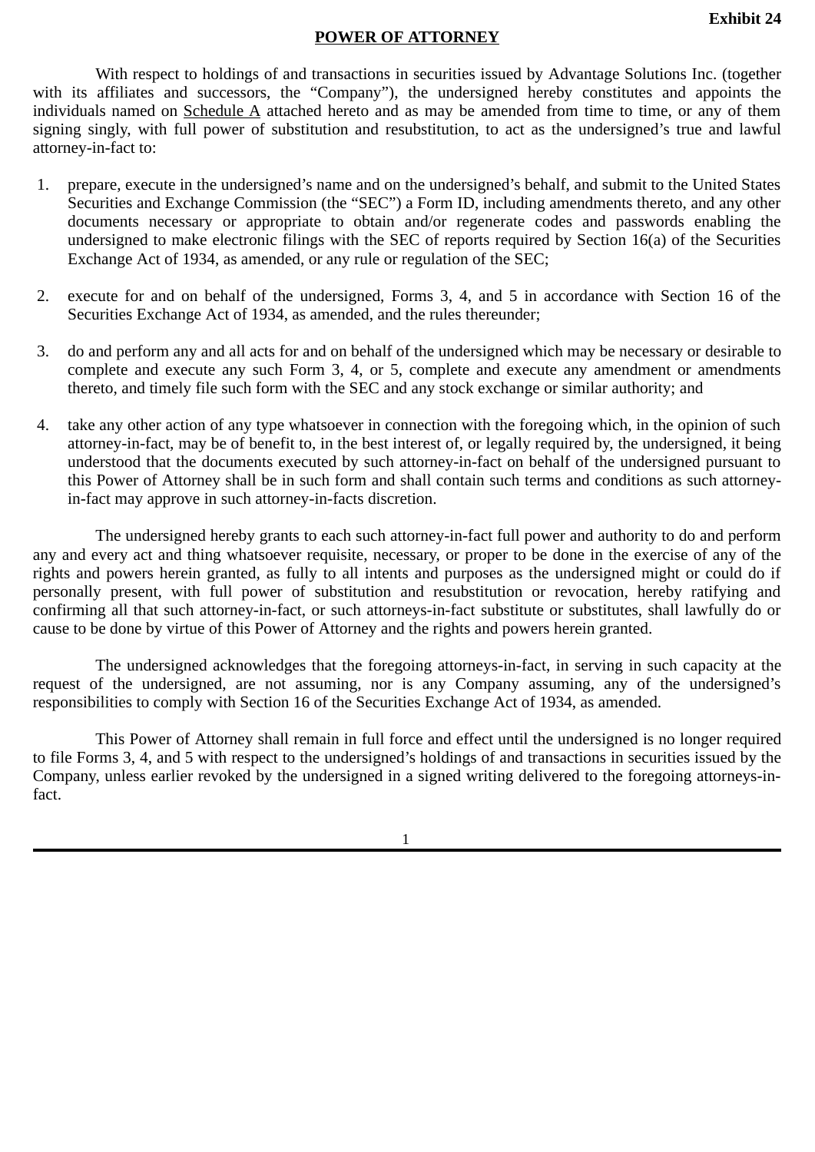## **POWER OF ATTORNEY**

With respect to holdings of and transactions in securities issued by Advantage Solutions Inc. (together with its affiliates and successors, the "Company"), the undersigned hereby constitutes and appoints the individuals named on Schedule A attached hereto and as may be amended from time to time, or any of them signing singly, with full power of substitution and resubstitution, to act as the undersigned's true and lawful attorney-in-fact to:

- 1. prepare, execute in the undersigned's name and on the undersigned's behalf, and submit to the United States Securities and Exchange Commission (the "SEC") a Form ID, including amendments thereto, and any other documents necessary or appropriate to obtain and/or regenerate codes and passwords enabling the undersigned to make electronic filings with the SEC of reports required by Section 16(a) of the Securities Exchange Act of 1934, as amended, or any rule or regulation of the SEC;
- 2. execute for and on behalf of the undersigned, Forms 3, 4, and 5 in accordance with Section 16 of the Securities Exchange Act of 1934, as amended, and the rules thereunder;
- 3. do and perform any and all acts for and on behalf of the undersigned which may be necessary or desirable to complete and execute any such Form 3, 4, or 5, complete and execute any amendment or amendments thereto, and timely file such form with the SEC and any stock exchange or similar authority; and
- 4. take any other action of any type whatsoever in connection with the foregoing which, in the opinion of such attorney-in-fact, may be of benefit to, in the best interest of, or legally required by, the undersigned, it being understood that the documents executed by such attorney-in-fact on behalf of the undersigned pursuant to this Power of Attorney shall be in such form and shall contain such terms and conditions as such attorneyin-fact may approve in such attorney-in-facts discretion.

The undersigned hereby grants to each such attorney-in-fact full power and authority to do and perform any and every act and thing whatsoever requisite, necessary, or proper to be done in the exercise of any of the rights and powers herein granted, as fully to all intents and purposes as the undersigned might or could do if personally present, with full power of substitution and resubstitution or revocation, hereby ratifying and confirming all that such attorney-in-fact, or such attorneys-in-fact substitute or substitutes, shall lawfully do or cause to be done by virtue of this Power of Attorney and the rights and powers herein granted.

The undersigned acknowledges that the foregoing attorneys-in-fact, in serving in such capacity at the request of the undersigned, are not assuming, nor is any Company assuming, any of the undersigned's responsibilities to comply with Section 16 of the Securities Exchange Act of 1934, as amended.

This Power of Attorney shall remain in full force and effect until the undersigned is no longer required to file Forms 3, 4, and 5 with respect to the undersigned's holdings of and transactions in securities issued by the Company, unless earlier revoked by the undersigned in a signed writing delivered to the foregoing attorneys-infact.

1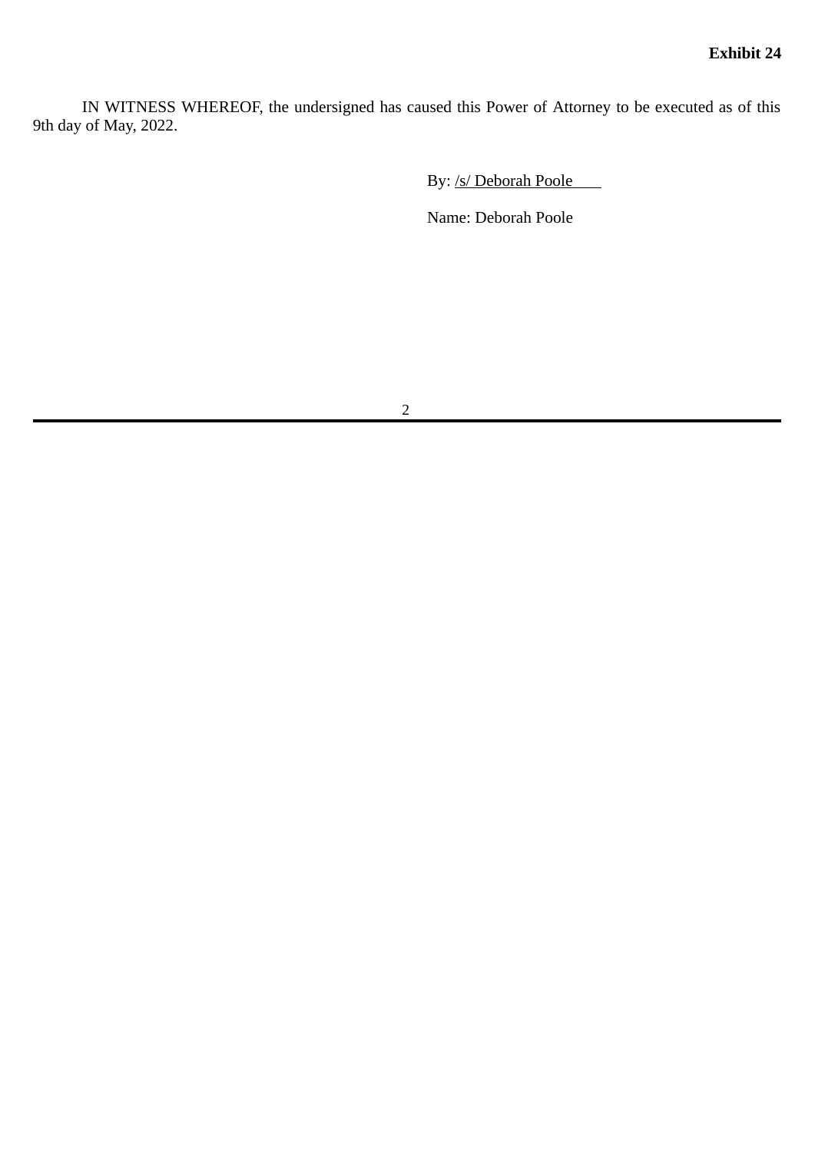IN WITNESS WHEREOF, the undersigned has caused this Power of Attorney to be executed as of this 9th day of May, 2022.

By: /s/ Deborah Poole

Name: Deborah Poole